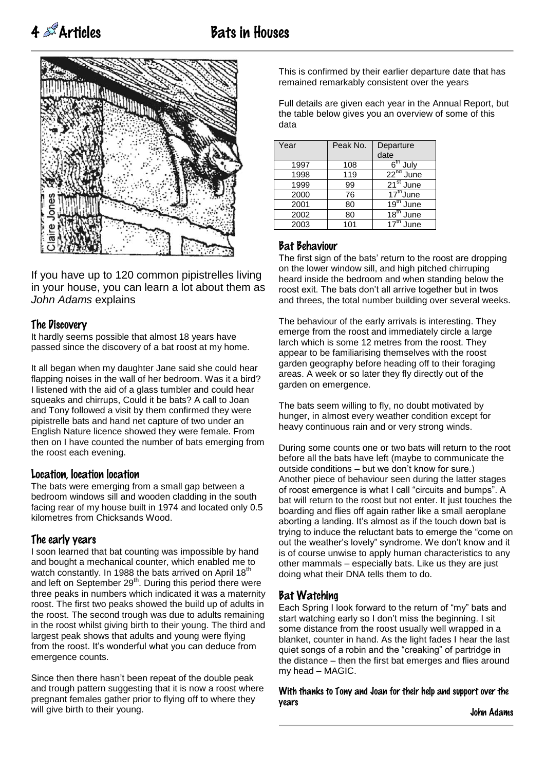



If you have up to 120 common pipistrelles living in your house, you can learn a lot about them as *John Adams* explains

#### The Discovery

It hardly seems possible that almost 18 years have passed since the discovery of a bat roost at my home.

It all began when my daughter Jane said she could hear flapping noises in the wall of her bedroom. Was it a bird? I listened with the aid of a glass tumbler and could hear squeaks and chirrups, Could it be bats? A call to Joan and Tony followed a visit by them confirmed they were pipistrelle bats and hand net capture of two under an English Nature licence showed they were female. From then on I have counted the number of bats emerging from the roost each evening.

#### Location, location location

The bats were emerging from a small gap between a bedroom windows sill and wooden cladding in the south facing rear of my house built in 1974 and located only 0.5 kilometres from Chicksands Wood.

#### The early years

I soon learned that bat counting was impossible by hand and bought a mechanical counter, which enabled me to watch constantly. In 1988 the bats arrived on April  $18<sup>tn</sup>$ and left on September  $29<sup>th</sup>$ . During this period there were three peaks in numbers which indicated it was a maternity roost. The first two peaks showed the build up of adults in the roost. The second trough was due to adults remaining in the roost whilst giving birth to their young. The third and largest peak shows that adults and young were flying from the roost. It's wonderful what you can deduce from emergence counts.

Since then there hasn't been repeat of the double peak and trough pattern suggesting that it is now a roost where pregnant females gather prior to flying off to where they will give birth to their young.

This is confirmed by their earlier departure date that has remained remarkably consistent over the years

Full details are given each year in the Annual Report, but the table below gives you an overview of some of this data

| Year | Peak No. | Departure<br>date                  |
|------|----------|------------------------------------|
| 1997 | 108      | $6th$ July                         |
| 1998 | 119      | $22^{nd}$<br>June                  |
| 1999 | 99       | $21st$ June                        |
| 2000 | 76       | $17th$ June                        |
| 2001 | 80       | $\overline{19}$ <sup>th</sup> June |
| 2002 | 80       | $18^{\text{m}}$<br>June            |
| 2003 | 101      | $17^{\text{th}}$<br>June           |

#### Bat Behaviour

The first sign of the bats' return to the roost are dropping on the lower window sill, and high pitched chirruping heard inside the bedroom and when standing below the roost exit. The bats don't all arrive together but in twos and threes, the total number building over several weeks.

The behaviour of the early arrivals is interesting. They emerge from the roost and immediately circle a large larch which is some 12 metres from the roost. They appear to be familiarising themselves with the roost garden geography before heading off to their foraging areas. A week or so later they fly directly out of the garden on emergence.

The bats seem willing to fly, no doubt motivated by hunger, in almost every weather condition except for heavy continuous rain and or very strong winds.

During some counts one or two bats will return to the root before all the bats have left (maybe to communicate the outside conditions – but we don't know for sure.) Another piece of behaviour seen during the latter stages of roost emergence is what I call "circuits and bumps". A bat will return to the roost but not enter. It just touches the boarding and flies off again rather like a small aeroplane aborting a landing. It's almost as if the touch down bat is trying to induce the reluctant bats to emerge the "come on out the weather's lovely" syndrome. We don't know and it is of course unwise to apply human characteristics to any other mammals – especially bats. Like us they are just doing what their DNA tells them to do.

#### Bat Watching

Each Spring I look forward to the return of "my" bats and start watching early so I don't miss the beginning. I sit some distance from the roost usually well wrapped in a blanket, counter in hand. As the light fades I hear the last quiet songs of a robin and the "creaking" of partridge in the distance – then the first bat emerges and flies around my head – MAGIC.

With thanks to Tony and Joan for their help and support over the years